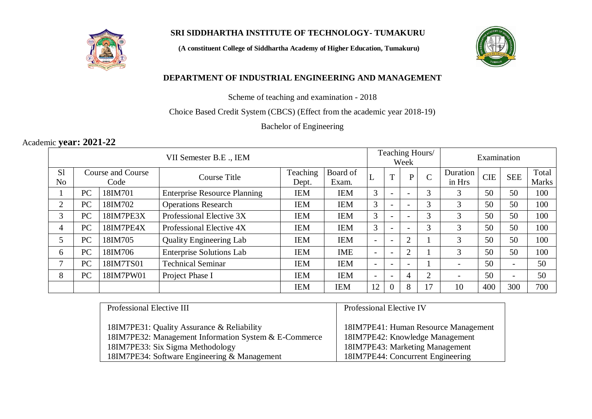

# **SRI SIDDHARTHA INSTITUTE OF TECHNOLOGY- TUMAKURU**

**(A constituent College of Siddhartha Academy of Higher Education, Tumakuru)**



# **DEPARTMENT OF INDUSTRIAL ENGINEERING AND MANAGEMENT**

Scheme of teaching and examination - 2018

Choice Based Credit System (CBCS) (Effect from the academic year 2018-19)

Bachelor of Engineering

# Academic **year: 2021-22**

| VII Semester B.E., IEM |                          |           |                                     | Teaching Hours/<br>Week |            |                          | Examination              |                          |                |                          |            |                          |              |
|------------------------|--------------------------|-----------|-------------------------------------|-------------------------|------------|--------------------------|--------------------------|--------------------------|----------------|--------------------------|------------|--------------------------|--------------|
| S <sub>1</sub>         | <b>Course and Course</b> |           | <b>Course Title</b>                 | Teaching                | Board of   |                          | T                        | P                        | $\overline{C}$ | Duration                 | <b>CIE</b> | <b>SEE</b>               | Total        |
| N <sub>o</sub>         |                          | Code      |                                     | Dept.                   | Exam.      | ┶                        |                          |                          |                | in Hrs                   |            |                          | <b>Marks</b> |
|                        | PC                       | 18IM701   | <b>Enterprise Resource Planning</b> | IEM                     | <b>IEM</b> | 3                        |                          |                          | 3              | 3                        | 50         | 50                       | 100          |
| $\overline{2}$         | PC                       | 18IM702   | <b>Operations Research</b>          | IEM                     | <b>IEM</b> | 3                        |                          |                          | 3              | 3                        | 50         | 50                       | 100          |
| 3                      | PC                       | 18IM7PE3X | Professional Elective 3X            | <b>IEM</b>              | <b>IEM</b> | 3                        |                          |                          | 3              | 3                        | 50         | 50                       | 100          |
| 4                      | PC                       | 18IM7PE4X | Professional Elective 4X            | IEM                     | <b>IEM</b> | 3                        |                          |                          | 3              | 3                        | 50         | 50                       | 100          |
| 5                      | PC                       | 18IM705   | <b>Quality Engineering Lab</b>      | IEM                     | <b>IEM</b> | $\overline{\phantom{0}}$ | $\overline{\phantom{0}}$ | $\overline{2}$           |                | 3                        | 50         | 50                       | 100          |
| 6                      | PC                       | 18IM706   | <b>Enterprise Solutions Lab</b>     | <b>IEM</b>              | <b>IME</b> | $\overline{\phantom{0}}$ |                          | $\overline{2}$           |                | 3                        | 50         | 50                       | 100          |
|                        | PC                       | 18IM7TS01 | <b>Technical Seminar</b>            | IEM                     | <b>IEM</b> | $\overline{\phantom{0}}$ |                          | $\overline{\phantom{0}}$ |                | $\overline{\phantom{0}}$ | 50         | $\overline{\phantom{a}}$ | 50           |
| 8                      | PC                       | 18IM7PW01 | Project Phase I                     | IEM                     | <b>IEM</b> | $\overline{\phantom{0}}$ |                          | 4                        | $\overline{2}$ | $\overline{\phantom{a}}$ | 50         | $\overline{\phantom{a}}$ | 50           |
|                        |                          |           |                                     | <b>IEM</b>              | <b>IEM</b> | 12                       |                          | 8                        | 17             | 10                       | 400        | 300                      | 700          |

| Professional Elective III                             | Professional Elective IV             |  |  |  |  |
|-------------------------------------------------------|--------------------------------------|--|--|--|--|
|                                                       |                                      |  |  |  |  |
| 18IM7PE31: Quality Assurance & Reliability            | 18IM7PE41: Human Resource Management |  |  |  |  |
| 18IM7PE32: Management Information System & E-Commerce | 18IM7PE42: Knowledge Management      |  |  |  |  |
| 18IM7PE33: Six Sigma Methodology                      | 18IM7PE43: Marketing Management      |  |  |  |  |
| 18IM7PE34: Software Engineering & Management          | 18IM7PE44: Concurrent Engineering    |  |  |  |  |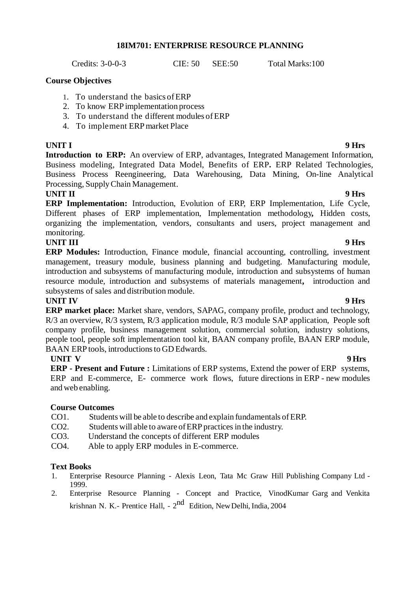## **18IM701: ENTERPRISE RESOURCE PLANNING**

Credits: 3-0-0-3 CIE: 50 SEE:50 Total Marks:100

### **Course Objectives**

- 1. To understand the basics ofERP
- 2. To know ERP implementation process
- 3. To understand the different modules ofERP
- 4. To implement ERPmarket Place

**UNIT I 9 Hrs Introduction to ERP:** An overview of ERP, advantages, Integrated Management Information, Business modeling, Integrated Data Model, Benefits of ERP**.** ERP Related Technologies, Business Process Reengineering, Data Warehousing, Data Mining, On-line Analytical Processing, SupplyChain Management.

# **UNIT II 9 Hrs**

**ERP Implementation:** Introduction, Evolution of ERP, ERP Implementation, Life Cycle, Different phases of ERP implementation, Implementation methodology**,** Hidden costs, organizing the implementation, vendors, consultants and users, project management and monitoring.

## **UNIT III 9 Hrs**

**ERP Modules:** Introduction, Finance module, financial accounting, controlling, investment management, treasury module, business planning and budgeting. Manufacturing module, introduction and subsystems of manufacturing module, introduction and subsystems of human resource module, introduction and subsystems of materials management**,** introduction and subsystems of sales and distribution module.

## **UNIT IV 9 Hrs**

**ERP market place:** Market share, vendors, SAPAG, company profile, product and technology, R/3 an overview, R/3 system, R/3 application module, R/3 module SAP application, People soft company profile, business management solution, commercial solution, industry solutions, people tool, people soft implementation tool kit, BAAN company profile, BAAN ERP module, BAAN ERP tools, introductions to GD Edwards.

**UNIT V 9 Hrs ERP - Present and Future :** Limitations of ERP systems, Extend the power of ERP systems, ERP and E-commerce, E- commerce work flows, future directions in ERP - new modules and web enabling.

## **Course Outcomes**

- CO1. Students will be able to describe and explain fundamentals ofERP.
- CO2. Students will able to aware of ERP practices in the industry.
- CO3. Understand the concepts of different ERP modules
- CO4. Able to apply ERP modules in E-commerce.

## **Text Books**

- 1. Enterprise Resource Planning Alexis Leon, Tata Mc Graw Hill Publishing Company Ltd 1999.
- 2. Enterprise Resource Planning Concept and Practice, VinodKumar Garg and Venkita krishnan N. K.- Prentice Hall, - 2<sup>nd</sup> Edition, New Delhi, India, 2004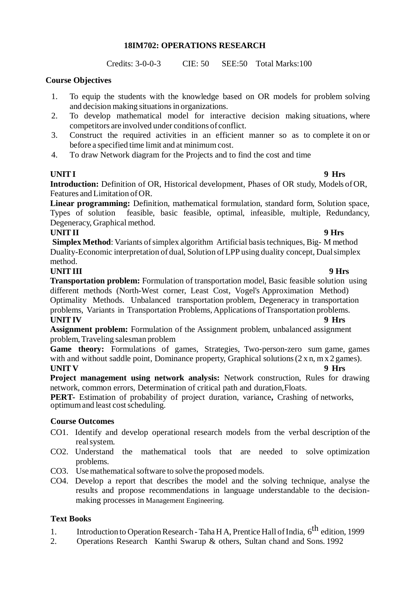## **18IM702: OPERATIONS RESEARCH**

Credits: 3-0-0-3 CIE: 50 SEE:50 Total Marks:100

# **Course Objectives**

- 1. To equip the students with the knowledge based on OR models for problem solving and decision making situations in organizations.
- 2. To develop mathematical model for interactive decision making situations, where competitors are involved under conditions of conflict.
- 3. Construct the required activities in an efficient manner so as to complete it on or before a specified time limit and at minimumcost.
- 4. To draw Network diagram for the Projects and to find the cost and time

# **UNITI 9 Hrs**

**Introduction:** Definition of OR, Historical development, Phases of OR study, Models of OR, Features and Limitation ofOR.

**Linear programming:** Definition, mathematical formulation, standard form, Solution space, Types of solution feasible, basic feasible, optimal, infeasible, multiple, Redundancy, Degeneracy, Graphical method.

# **UNITII 9 Hrs**

**Simplex Method**: Variants of simplex algorithm Artificial basis techniques, Big- M method Duality-Economic interpretation of dual, Solution ofLPP using duality concept, Dualsimplex method.

**UNITIII 9 Hrs Transportation problem:** Formulation of transportation model, Basic feasible solution using different methods (North-West corner, Least Cost, Vogel's Approximation Method) Optimality Methods. Unbalanced transportation problem, Degeneracy in transportation problems, Variants in Transportation Problems, Applications of Transportation problems. **UNITIV 9 Hrs** 

**Assignment problem:** Formulation of the Assignment problem, unbalanced assignment problem, Traveling salesman problem

**Game theory:** Formulations of games, Strategies, Two-person-zero sum game, games with and without saddle point, Dominance property, Graphical solutions  $(2 \times n, m \times 2)$  games). **UNIT V 9 Hrs**

**Project management using network analysis:** Network construction, Rules for drawing network, common errors, Determination of critical path and duration,Floats.

**PERT-** Estimation of probability of project duration, variance**,** Crashing of networks, optimum and least cost scheduling.

# **Course Outcomes**

- CO1. Identify and develop operational research models from the verbal description of the realsystem.
- CO2. Understand the mathematical tools that are needed to solve optimization problems.
- CO3. Use mathematical software to solve the proposed models.
- CO4. Develop a report that describes the model and the solving technique, analyse the results and propose recommendations in language understandable to the decisionmaking processes in Management Engineering.

# **Text Books**

- 1. Introduction to Operation Research Taha H A, Prentice Hall of India, 6<sup>th</sup> edition, 1999
- 2. Operations Research Kanthi Swarup & others, Sultan chand and Sons. 1992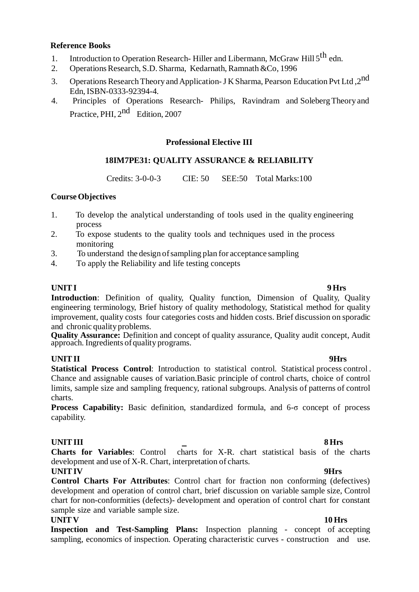## **Reference Books**

- 1. Introduction to Operation Research-Hiller and Libermann, McGraw Hill 5<sup>th</sup> edn.
- 2. Operations Research, S.D. Sharma, Kedarnath, Ramnath &Co, 1996
- 3. Operations Research Theory and Application-J K Sharma, Pearson Education Pvt Ltd, 2<sup>nd</sup> Edn, ISBN-0333-92394-4.
- 4. Principles of Operations Research- Philips, Ravindram and SolebergTheory and Practice, PHI, 2<sup>nd</sup> Edition, 2007

# **Professional Elective III**

# **18IM7PE31: QUALITY ASSURANCE & RELIABILITY**

Credits: 3-0-0-3 CIE: 50 SEE:50 Total Marks:100

## **Course Objectives**

- 1. To develop the analytical understanding of tools used in the quality engineering process
- 2. To expose students to the quality tools and techniques used in the process monitoring
- 3. To understand the design ofsampling plan for acceptance sampling
- 4. To apply the Reliability and life testing concepts

# **UNITI 9 Hrs**

**Introduction**: Definition of quality, Quality function, Dimension of Quality, Quality engineering terminology, Brief history of quality methodology, Statistical method for quality improvement, quality costs four categories costs and hidden costs. Brief discussion on sporadic and chronic qualityproblems.

**Quality Assurance:** Definition and concept of quality assurance, Quality audit concept, Audit approach. Ingredients of quality programs.

## **UNITII 9Hrs**

**Statistical Process Control**: Introduction to statistical control. Statistical process control . Chance and assignable causes of variation.Basic principle of control charts, choice of control limits, sample size and sampling frequency, rational subgroups. Analysis of patterns of control charts.

**Process Capability:** Basic definition, standardized formula, and 6-σ concept of process capability.

# **UNITIII 8 Hrs**

**Charts for Variables**: Control charts for X-R. chart statistical basis of the charts development and use of X-R. Chart, interpretation of charts.

## **UNITIV 9Hrs**

**Control Charts For Attributes**: Control chart for fraction non conforming (defectives) development and operation of control chart, brief discussion on variable sample size, Control chart for non-conformities (defects)- development and operation of control chart for constant sample size and variable sample size.

### **UNIT V 10 Hrs**

**Inspection and Test-Sampling Plans:** Inspection planning - concept of accepting sampling, economics of inspection. Operating characteristic curves - construction and use.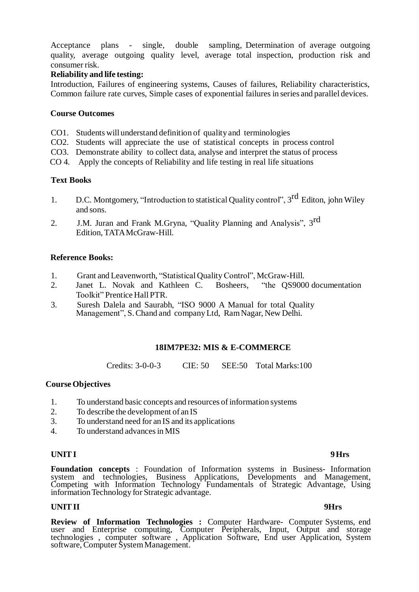Acceptance plans - single, double sampling, Determination of average outgoing quality, average outgoing quality level, average total inspection, production risk and consumer risk.

## **Reliability and life testing:**

Introduction, Failures of engineering systems, Causes of failures, Reliability characteristics, Common failure rate curves, Simple cases of exponential failures in series and parallel devices.

### **Course Outcomes**

- CO1. Students willunderstand definition of quality and terminologies
- CO2. Students will appreciate the use of statistical concepts in process control
- CO3. Demonstrate ability to collect data, analyse and interpret the status of process
- CO 4. Apply the concepts of Reliability and life testing in real life situations

### **Text Books**

- 1. D.C. Montgomery, "Introduction to statistical Quality control", 3<sup>rd</sup> Editon, john Wiley and sons.
- 2. J.M. Juran and Frank M.Gryna, "Quality Planning and Analysis", 3<sup>rd</sup> Edition, TATAMcGraw-Hill.

## **Reference Books:**

- 1. Grant and Leavenworth, "Statistical QualityControl", McGraw-Hill.
- 2. Janet L. Novak and Kathleen C. Bosheers, "the QS9000 documentation Toolkit" Prentice Hall PTR.
- 3. Suresh Dalela and Saurabh, "ISO 9000 A Manual for total Quality Management", S.Chand and companyLtd, RamNagar, New Delhi.

## **18IM7PE32: MIS & E-COMMERCE**

Credits: 3-0-0-3 CIE: 50 SEE:50 Total Marks:100

### **Course Objectives**

- 1. To understand basic concepts and resources of information systems
- 2. To describe the development of an IS
- 3. To understand need for an IS and its applications
- 4. To understand advancesin MIS

### **UNITI 9Hrs**

**Foundation concepts** : Foundation of Information systems in Business- Information system and technologies, Business Applications, Developments and Management, Competing with Information Technology Fundamentals of Strategic Advantage, Using information Technology for Strategic advantage.

### **UNITII 9Hrs**

**Review of Information Technologies :** Computer Hardware- Computer Systems, end user and Enterprise computing, Computer Peripherals, Input, Output and storage technologies , computer software , Application Software, End user Application, System software, Computer System Management.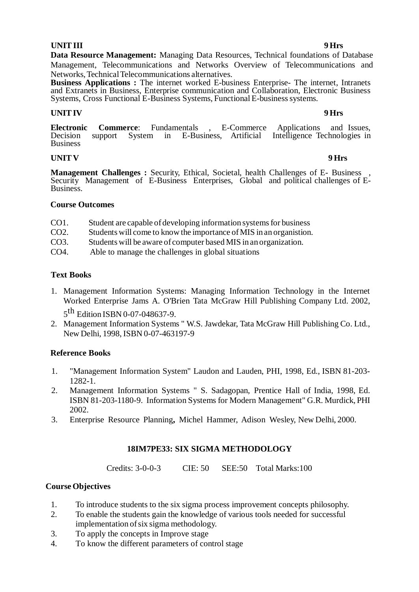### **UNITIII 9 Hrs**

**Data Resource Management:** Managing Data Resources, Technical foundations of Database Management, Telecommunications and Networks Overview of Telecommunications and Networks,TechnicalTelecommunications alternatives.

**Business Applications :** The internet worked E-business Enterprise- The internet, Intranets and Extranets in Business, Enterprise communication and Collaboration, Electronic Business Systems, Cross Functional E-Business Systems, Functional E-business systems.

## **UNITIV 9 Hrs**

**Electronic Commerce:** Fundamentals , E-Commerce Applications and Issues, Decision support System in E-Business, Artificial Intelligence Technologies in Intelligence Technologies in Business

# **UNIT V 9 Hrs**

**Management Challenges** : Security, Ethical, Societal, health Challenges of E- Business Security Management of E-Business Enterprises, Global and political challenges of E-Business.

## **Course Outcomes**

- CO1. Student are capable of developing information systems for business
- CO2. Students will come to knowthe importance ofMIS in an organistion.
- CO3. Students will be aware of computer based MIS in an organization.
- CO4. Able to manage the challenges in global situations

# **Text Books**

- 1. Management Information Systems: Managing Information Technology in the Internet Worked Enterprise Jams A. O'Brien Tata McGraw Hill Publishing Company Ltd. 2002, 5<sup>th</sup> Edition ISBN 0-07-048637-9.
- 2. Management Information Systems " W.S. Jawdekar, Tata McGraw Hill Publishing Co. Ltd., New Delhi, 1998, ISBN 0-07-463197-9

# **Reference Books**

- 1. "Management Information System" Laudon and Lauden, PHI, 1998, Ed., ISBN 81-203- 1282-1.
- 2. Management Information Systems " S. Sadagopan, Prentice Hall of India, 1998, Ed. ISBN 81-203-1180-9. Information Systems for Modern Management" G.R. Murdick, PHI 2002.
- 3. Enterprise Resource Planning**,** Michel Hammer, Adison Wesley, New Delhi, 2000.

# **18IM7PE33: SIX SIGMA METHODOLOGY**

Credits: 3-0-0-3 CIE: 50 SEE:50 Total Marks:100

# **Course Objectives**

- 1. To introduce students to the six sigma process improvement concepts philosophy.
- 2. To enable the students gain the knowledge of various tools needed for successful implementation ofsix sigma methodology.
- 3. To apply the concepts in Improve stage
- 4. To know the different parameters of control stage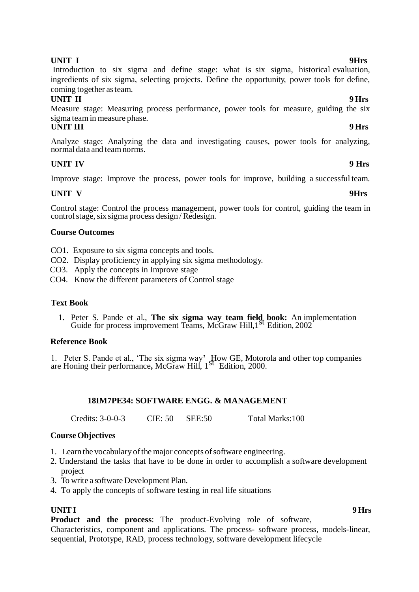## **UNIT I 9Hrs**

Introduction to six sigma and define stage: what is six sigma, historical evaluation, ingredients of six sigma, selecting projects. Define the opportunity, power tools for define, coming together asteam.

# **UNIT II 9 Hrs**

Measure stage: Measuring process performance, power tools for measure, guiding the six sigma team in measure phase.<br>UNIT III

## **UNIT III 9 Hrs**

Analyze stage: Analyzing the data and investigating causes, power tools for analyzing, normal data and teamnorms.

# **UNIT IV 9 Hrs**

Improve stage: Improve the process, power tools for improve, building a successful team.

# **UNIT V 9Hrs**

Control stage: Control the process management, power tools for control, guiding the team in control stage, six sigma process design / Redesign.

## **Course Outcomes**

CO1. Exposure to six sigma concepts and tools.

- CO2. Display proficiency in applying six sigma methodology.
- CO3. Apply the concepts in Improve stage

CO4. Know the different parameters of Control stage

## **Text Book**

1. Peter S. Pande et al., **The six sigma way team field book:** An implementation Guide for process improvement Teams, McGraw Hill,1st Edition, 2002

## **Reference Book**

1. Peter S. Pande et al., 'The six sigma way**'** How GE, Motorola and other top companies are Honing their performance**,** McGraw Hill, 1st Edition, 2000.

## **18IM7PE34: SOFTWARE ENGG. & MANAGEMENT**

Credits: 3-0-0-3 CIE: 50 SEE:50 Total Marks:100

## **Course Objectives**

- 1. Learn the vocabulary of the major concepts of software engineering.
- 2. Understand the tasks that have to be done in order to accomplish a software development project
- 3. To write a software Development Plan.
- 4. To apply the concepts of software testing in real life situations

## **UNITI 9 Hrs**

**Product and the process**: The product-Evolving role of software,

Characteristics, component and applications. The process- software process, models-linear, sequential, Prototype, RAD, process technology, software development lifecycle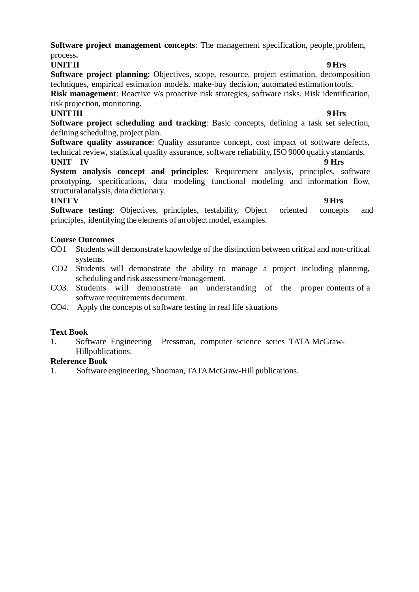**Software project management concepts**: The management specification, people, problem, process**.**

**UNITII 9 Hrs Software project planning**: Objectives, scope, resource, project estimation, decomposition techniques, empirical estimation models. make-buy decision, automated estimation tools. **Risk management**: Reactive v/s proactive risk strategies, software risks. Risk identification,

risk projection, monitoring. **UNITIII 9 Hrs** 

**Software project scheduling and tracking**: Basic concepts, defining a task set selection, defining scheduling, project plan.

**Software quality assurance**: Quality assurance concept, cost impact of software defects, technical review, statistical quality assurance, software reliability, ISO 9000 quality standards. UNIT IV 9 Hrs

**System analysis concept and principles**: Requirement analysis, principles, software prototyping, specifications, data modeling functional modeling and information flow, structural analysis, data dictionary.

# **UNIT V 9 Hrs**

**Software testing:** Objectives, principles, testability, Object oriented concepts and principles, identifying the elements of an object model, examples.

# **Course Outcomes**

- CO1 Students will demonstrate knowledge of the distinction between critical and non-critical systems.
- CO2 Students will demonstrate the ability to manage a project including planning, scheduling and risk assessment/management.
- CO3. Students will demonstrate an understanding of the proper contents of a software requirements document.
- CO4. Apply the concepts of software testing in real life situations

# **Text Book**

1. Software Engineering Pressman, computer science series TATA McGraw-Hillpublications.

## **Reference Book**

1. Software engineering, Shooman, TATAMcGraw-Hill publications.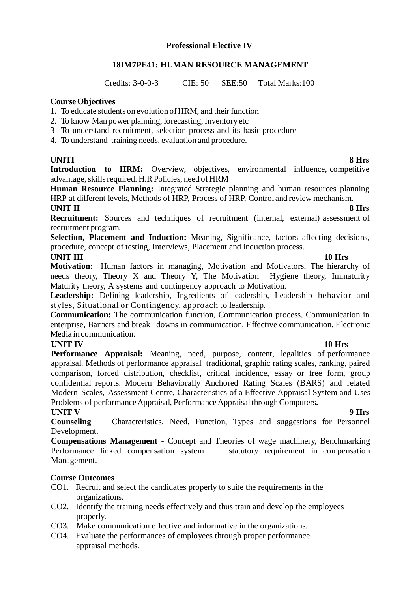# **Professional Elective IV**

## **18IM7PE41: HUMAN RESOURCE MANAGEMENT**

Credits: 3-0-0-3 CIE: 50 SEE:50 Total Marks:100

## **Course Objectives**

- 1. To educate students on evolution ofHRM, and their function
- 2. To know Man power planning, forecasting, Inventory etc
- 3 To understand recruitment, selection process and its basic procedure
- 4. To understand training needs, evaluation and procedure.

# **UNITI 8 Hrs**

**Introduction to HRM:** Overview, objectives, environmental influence, competitive advantage, skills required. H.R Policies, need of HRM

**Human Resource Planning:** Integrated Strategic planning and human resources planning HRP at different levels, Methods of HRP, Process of HRP, Control and review mechanism.

# **UNIT II 8 Hrs**

**Recruitment:** Sources and techniques of recruitment (internal, external) assessment of recruitment program.

**Selection, Placement and Induction:** Meaning, Significance, factors affecting decisions, procedure, concept of testing, Interviews, Placement and induction process.

### **UNIT III 10 Hrs Motivation:** Human factors in managing, Motivation and Motivators, The hierarchy of needs theory, Theory X and Theory Y, The Motivation Hygiene theory, Immaturity Maturity theory, A systems and contingency approach to Motivation.

Leadership: Defining leadership, Ingredients of leadership, Leadership behavior and styles, Situational or Contingency, approach to leadership.

**Communication:** The communication function, Communication process, Communication in enterprise, Barriers and break downs in communication, Effective communication. Electronic Media in communication.

# **UNIT IV 10 Hrs**

**Performance Appraisal:** Meaning, need, purpose, content, legalities of performance appraisal. Methods of performance appraisal traditional, graphic rating scales, ranking, paired comparison, forced distribution, checklist, critical incidence, essay or free form, group confidential reports. Modern Behaviorally Anchored Rating Scales (BARS) and related Modern Scales, Assessment Centre, Characteristics of a Effective Appraisal System and Uses Problems of performance Appraisal, Performance Appraisal through Computers.

## **UNIT V 9 Hrs**

**Counseling** Characteristics, Need, Function, Types and suggestions for Personnel Development.

**Compensations Management -** Concept and Theories of wage machinery, Benchmarking Performance linked compensation system statutory requirement in compensation Management.

# **Course Outcomes**

- CO1. Recruit and select the candidates properly to suite the requirements in the organizations.
- CO2. Identify the training needs effectively and thus train and develop the employees properly.
- CO3. Make communication effective and informative in the organizations.
- CO4. Evaluate the performances of employees through proper performance appraisal methods.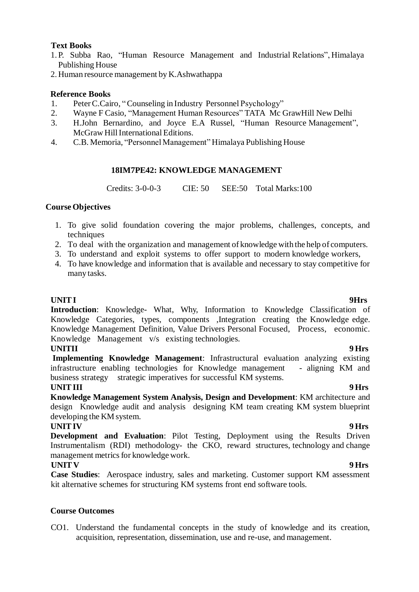# **Text Books**

- 1. P. Subba Rao, "Human Resource Management and Industrial Relations", Himalaya Publishing House
- 2. Human resource management by K.Ashwathappa

# **Reference Books**

- 1. PeterC.Cairo, "Counseling in Industry Personnel Psychology"
- 2. Wayne F Casio, "Management Human Resources" TATA Mc GrawHill New Delhi
- 3. H.John Bernardino, and Joyce E.A Russel, "Human Resource Management", McGraw Hill International Editions.
- 4. C.B. Memoria, "Personnel Management" Himalaya Publishing House

## **18IM7PE42: KNOWLEDGE MANAGEMENT**

Credits: 3-0-0-3 CIE: 50 SEE:50 Total Marks:100

## **Course Objectives**

- 1. To give solid foundation covering the major problems, challenges, concepts, and techniques
- 2. To deal with the organization and management of knowledge with the help of computers.
- 3. To understand and exploit systems to offer support to modern knowledge workers,
- 4. To have knowledge and information that is available and necessary to stay competitive for many tasks.

### **UNITI 9Hrs**

**Introduction**: Knowledge- What, Why, Information to Knowledge Classification of Knowledge Categories, types, components ,Integration creating the Knowledge edge. Knowledge Management Definition, Value Drivers Personal Focused, Process, economic. Knowledge Management v/s existing technologies.

### **UNITII 9 Hrs**

**Implementing Knowledge Management**: Infrastructural evaluation analyzing existing infrastructure enabling technologies for Knowledge management - aligning KM and business strategy strategic imperatives for successful KM systems.

### **UNITIII 9 Hrs**

**Knowledge Management System Analysis, Design and Development**: KM architecture and design Knowledge audit and analysis designing KM team creating KM system blueprint developing the KM system.

### **UNITIV 9 Hrs**

**Development and Evaluation**: Pilot Testing, Deployment using the Results Driven Instrumentalism (RDI) methodology- the CKO, reward structures, technology and change management metrics for knowledge work.

## **UNIT V 9 Hrs**

**Case Studies**: Aerospace industry, sales and marketing. Customer support KM assessment kit alternative schemes for structuring KM systems front end software tools.

## **Course Outcomes**

CO1. Understand the fundamental concepts in the study of knowledge and its creation, acquisition, representation, dissemination, use and re-use, and management.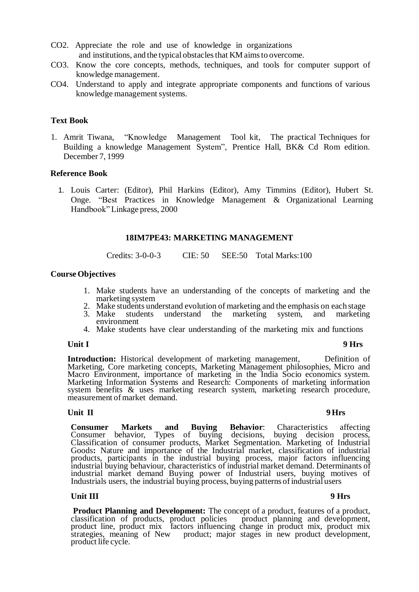- CO2. Appreciate the role and use of knowledge in organizations and institutions, and the typical obstacles that KM aims to overcome.
- CO3. Know the core concepts, methods, techniques, and tools for computer support of knowledge management.
- CO4. Understand to apply and integrate appropriate components and functions of various knowledge management systems.

### **Text Book**

1. Amrit Tiwana, "Knowledge Management Tool kit, The practical Techniques for Building a knowledge Management System", Prentice Hall, BK& Cd Rom edition. December 7, 1999

### **Reference Book**

1. Louis Carter: (Editor), Phil Harkins (Editor), Amy Timmins (Editor), Hubert St. Onge. "Best Practices in Knowledge Management & Organizational Learning Handbook" Linkage press, 2000

### **18IM7PE43: MARKETING MANAGEMENT**

Credits: 3-0-0-3 CIE: 50 SEE:50 Total Marks:100

### **Course Objectives**

- 1. Make students have an understanding of the concepts of marketing and the marketing system
- 2. Make students understand evolution of marketing and the emphasis on each stage<br>3. Make students understand the marketing system, and marketing
- marketing system, environment
- 4. Make students have clear understanding of the marketing mix and functions

### **Unit I 9 Hrs**

Introduction: Historical development of marketing management, Definition of Marketing, Core marketing concepts, Marketing Management philosophies, Micro and Macro Environment, importance of marketing in the India Socio economics system. Marketing Information Systems and Research: Components of marketing information system benefits & uses marketing research system, marketing research procedure, measurement of market demand.

### **Unit II 9 Hrs**

**Consumer Markets and Buying Behavior:** Characteristics affecting Consumer behavior, Types of buying decisions, buying decision process, Consumer behavior, Types of buying decisions, Classification of consumer products, Market Segmentation. Marketing of Industrial Goods**:** Nature and importance of the Industrial market, classification of industrial products, participants in the industrial buying process, major factors influencing industrial buying behaviour, characteristics of industrial market demand. Determinants of industrial market demand Buying power of Industrial users, buying motives of Industrials users, the industrial buying process, buying patterns ofindustrial users

### **Unit III 9 Hrs**

**Product Planning and Development:** The concept of a product, features of a product, classification of products, product policies product planning and development, product line, product mix factors influencing change in product mix, product mix strategies, meaning of New product; major stages in new product development, product life cycle.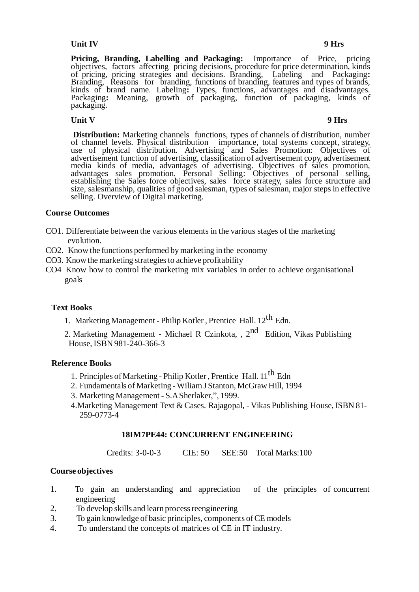## **Unit IV 9 Hrs**

Pricing, Branding, Labelling and Packaging: Importance of Price, pricing objectives, factors affecting pricing decisions, procedure for price determination, kinds of pricing, pricing strategies and decisions. Branding, Labeling and Packaging**:**  Branding, Reasons for branding, functions of branding, features and types of brands, kinds of brand name. Labeling**:** Types, functions, advantages and disadvantages. Packaging: Meaning, growth of packaging, function of packaging, kinds of packaging.

# **Unit V 9 Hrs**

**Distribution:** Marketing channels functions, types of channels of distribution, number of channel levels. Physical distribution importance, total systems concept, strategy, use of physical distribution. Advertising and Sales Promotion: Objectives of advertisement function of advertising, classification of advertisement copy, advertisement media kinds of media, advantages of advertising. Objectives of sales promotion, advantages sales promotion. Personal Selling: Objectives of personal selling, establishing the Sales force objectives, sales force strategy, sales force structure and size, salesmanship, qualities of good salesman, types of salesman, major steps in effective selling. Overview of Digital marketing.

### **Course Outcomes**

- CO1. Differentiate between the various elements in the various stages of the marketing evolution.
- CO2. Know the functions performed by marketing in the economy
- CO3. Knowthe marketing strategiesto achieve profitability
- CO4 Know how to control the marketing mix variables in order to achieve organisational goals

### **Text Books**

- 1. Marketing Management Philip Kotler, Prentice Hall.  $12^{th}$  Edn.
- 2. Marketing Management Michael R Czinkota, , 2<sup>nd</sup> Edition, Vikas Publishing House, ISBN 981-240-366-3

### **Reference Books**

- 1. Principles of Marketing Philip Kotler, Prentice Hall. 11<sup>th</sup> Edn
- 2. Fundamentals ofMarketing WiliamJ Stanton, McGraw Hill, 1994
- 3. Marketing Management S.ASherlaker,", 1999.
- 4.Marketing Management Text & Cases. Rajagopal, Vikas Publishing House, ISBN 81- 259-0773-4

## **18IM7PE44: CONCURRENT ENGINEERING**

Credits: 3-0-0-3 CIE: 50 SEE:50 Total Marks:100

## **Course objectives**

- 1. To gain an understanding and appreciation of the principles of concurrent engineering
- 2. To develop skills and learn process reengineering
- 3. To gain knowledge of basic principles, components ofCE models
- 4. To understand the concepts of matrices of CE in IT industry.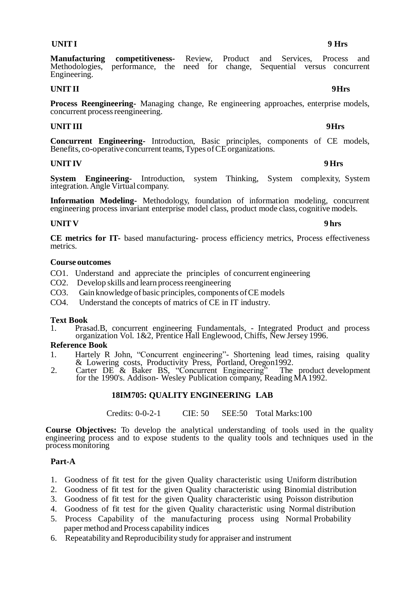**Manufacturing competitiveness-** Review, Product and Services, Process and  $Methodologies$ , performance, the need for change, Engineering.

### **UNITII 9 Hrs**

**Process Reengineering-** Managing change, Re engineering approaches, enterprise models, concurrent process reengineering.

## **UNIT III** 9Hrs

**Concurrent Engineering-** Introduction, Basic principles, components of CE models, Benefits, co-operative concurrent teams, Types of CE organizations.

### **UNITIV 9 Hrs**

**System Engineering-** Introduction, system Thinking, System complexity, System integration.Angle Virtual company.

**Information Modeling-** Methodology, foundation of information modeling, concurrent engineering process invariant enterprise model class, product mode class, cognitive models.

## **UNIT V 9 hrs**

**CE metrics for IT-** based manufacturing- process efficiency metrics, Process effectiveness metrics.

### **Course outcomes**

CO1. Understand and appreciate the principles of concurrent engineering

- CO2. Develop skills and learn process reengineering
- CO3. Gain knowledge of basic principles, components ofCE models
- CO4. Understand the concepts of matrics of CE in IT industry.

## **Text Book**

1. Prasad.B, concurrent engineering Fundamentals, - Integrated Product and process organization Vol. 1&2, Prentice Hall Englewood, Chiffs, New Jersey 1996.

### **Reference Book**

- 1. Hartely R John, "Concurrent engineering"- Shortening lead times, raising quality & Lowering costs, Productivity Press, Portland, Oregon1992.
- 2. Carter DE & Baker BS, "Concurrent Engineering" The product development for the 1990's. Addison- Wesley Publication company, Reading MA1992.

## **18IM705: QUALITY ENGINEERING LAB**

Credits: 0-0-2-1 CIE: 50 SEE:50 Total Marks:100

**Course Objectives:** To develop the analytical understanding of tools used in the quality engineering process and to expose students to the quality tools and techniques used in the process monitoring

## **Part-A**

- 1. Goodness of fit test for the given Quality characteristic using Uniform distribution
- 2. Goodness of fit test for the given Quality characteristic using Binomial distribution
- 3. Goodness of fit test for the given Quality characteristic using Poisson distribution
- 4. Goodness of fit test for the given Quality characteristic using Normal distribution
- 5. Process Capability of the manufacturing process using Normal Probability paper method and Process capability indices
- 6. RepeatabilityandReproducibility study for appraiser and instrument

# **UNITI 9 Hrs**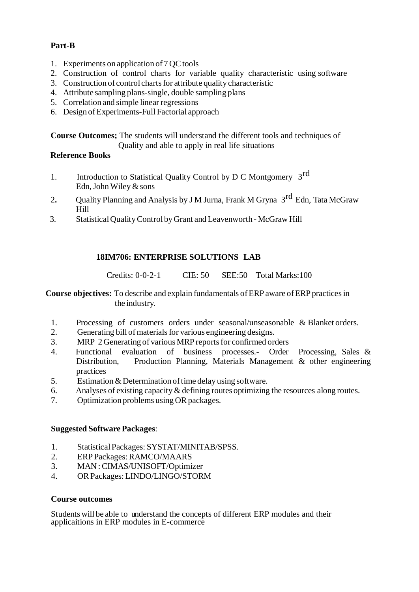# **Part-B**

- 1. Experiments on application of  $7 \text{ QC tools}$
- 2. Construction of control charts for variable quality characteristic using software
- 3. Construction of control charts for attribute quality characteristic
- 4. Attribute sampling plans-single, double sampling plans
- 5. Correlation and simple linear regressions
- 6. Design ofExperiments-Full Factorial approach

**Course Outcomes;** The students will understand the different tools and techniques of Quality and able to apply in real life situations

# **Reference Books**

- 1. Introduction to Statistical Quality Control by D C Montgomery 3<sup>rd</sup> Edn, John Wiley  $&$  sons
- 2. Quality Planning and Analysis by J M Jurna, Frank M Gryna 3<sup>rd</sup> Edn, Tata McGraw Hill
- 3. StatisticalQualityControl byGrant and Leavenworth McGraw Hill

# **18IM706: ENTERPRISE SOLUTIONS LAB**

Credits: 0-0-2-1 CIE: 50 SEE:50 Total Marks:100

**Course objectives:** To describe and explain fundamentals ofERP aware ofERP practicesin the industry.

- 1. Processing of customers orders under seasonal/unseasonable & Blanket orders.
- 2. Generating bill of materials for various engineering designs.
- 3. MRP 2 Generating of various MRP reports for confirmed orders
- 4. Functional evaluation of business processes.- Order Processing, Sales & Distribution, Production Planning, Materials Management & other engineering practices
- 5. Estimation  $&$  Determination of time delay using software.
- 6. Analyses of existing capacity & defining routes optimizing the resources along routes.
- 7. Optimization problems using OR packages.

## **Suggested Software Packages**:

- 1. StatisticalPackages: SYSTAT/MINITAB/SPSS.
- 2. ERP Packages:RAMCO/MAARS
- 3. MAN :CIMAS/UNISOFT/Optimizer
- 4. ORPackages: LINDO/LINGO/STORM

## **Course outcomes**

Students will be able to understand the concepts of different ERP modules and their applicaitions in ERP modules in E-commerce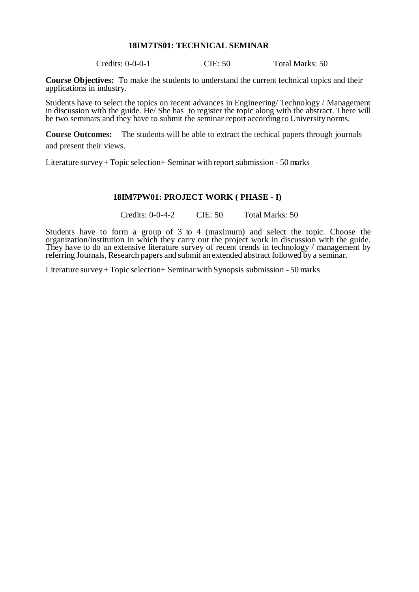### **18IM7TS01: TECHNICAL SEMINAR**

Credits: 0-0-0-1 CIE: 50 Total Marks: 50

**Course Objectives:** To make the students to understand the current technical topics and their applications in industry.

Students have to select the topics on recent advances in Engineering/ Technology / Management in discussion with the guide. He/ She has to register the topic along with the abstract. There will be two seminars and they have to submit the seminar report according to University norms.

**Course Outcomes:** The students will be able to extract the techical papers through journals and present their views.

Literature survey+ Topic selection+ Seminar with report submission - 50 marks

### **18IM7PW01: PROJECT WORK ( PHASE - I)**

Credits: 0-0-4-2 CIE: 50 Total Marks: 50

Students have to form a group of 3 to 4 (maximum) and select the topic. Choose the organization/institution in which they carry out the project work in discussion with the guide. They have to do an extensive literature survey of recent trends in technology / management by referring Journals, Research papers and submit an extended abstract followed by a seminar.

Literature survey+ Topic selection+ Seminar with Synopsis submission - 50 marks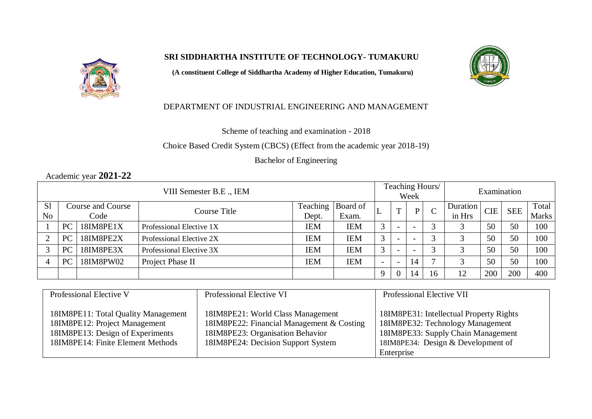# **SRI SIDDHARTHA INSTITUTE OF TECHNOLOGY- TUMAKURU**

**(A constituent College of Siddhartha Academy of Higher Education, Tumakuru)**



# DEPARTMENT OF INDUSTRIAL ENGINEERING AND MANAGEMENT

Scheme of teaching and examination - 2018

Choice Based Credit System (CBCS) (Effect from the academic year 2018-19)

Bachelor of Engineering

# Academic year **2021-22**

| VIII Semester B.E., IEM |           |                   |                          |            | Teaching Hours/<br>Week |             |                          | Examination              |               |          |            |            |              |
|-------------------------|-----------|-------------------|--------------------------|------------|-------------------------|-------------|--------------------------|--------------------------|---------------|----------|------------|------------|--------------|
| S <sub>1</sub>          |           | Course and Course | Course Title             | Teaching   | Board of                |             | m                        | P                        | $\mathcal{C}$ | Duration | <b>CIE</b> | <b>SEE</b> | Total        |
| N <sub>o</sub>          |           | Code              |                          | Dept.      | Exam.                   |             |                          |                          |               | in Hrs   |            |            | <b>Marks</b> |
|                         | <b>PC</b> | 18IM8PE1X         | Professional Elective 1X | <b>IEM</b> | <b>IEM</b>              | 3           | $\overline{\phantom{0}}$ | $\overline{\phantom{0}}$ | $\sim$        |          | 50         | 50         | 100          |
|                         | <b>PC</b> | 18IM8PE2X         | Professional Elective 2X | IEM        | <b>IEM</b>              | 3           | $\overline{\phantom{0}}$ | $\overline{\phantom{0}}$ | $\sim$        |          | 50         | 50         | 100          |
|                         | <b>PC</b> | 18IM8PE3X         | Professional Elective 3X | <b>IEM</b> | <b>IEM</b>              | 3           | $\overline{\phantom{0}}$ | $\overline{\phantom{0}}$ | $\sim$        |          | 50         | 50         | 100          |
|                         | PC        | 18IM8PW02         | Project Phase II         | IEM        | <b>IEM</b>              |             | $\overline{\phantom{0}}$ | 14                       |               |          | 50         | 50         | 100          |
|                         |           |                   |                          |            |                         | $\mathbf Q$ | $\overline{0}$           | 14                       | 16            | 12       | 200        | 200        | 400          |

| Professional Elective V             | Professional Elective VI                  | Professional Elective VII               |  |  |  |
|-------------------------------------|-------------------------------------------|-----------------------------------------|--|--|--|
|                                     |                                           |                                         |  |  |  |
| 18IM8PE11: Total Quality Management | 18IM8PE21: World Class Management         | 18IM8PE31: Intellectual Property Rights |  |  |  |
| 18IM8PE12: Project Management       | 18IM8PE22: Financial Management & Costing | 18IM8PE32: Technology Management        |  |  |  |
| 18IM8PE13: Design of Experiments    | 18IM8PE23: Organisation Behavior          | 18IM8PE33: Supply Chain Management      |  |  |  |
| 18IM8PE14: Finite Element Methods   | 18IM8PE24: Decision Support System        | 18IM8PE34: Design & Development of      |  |  |  |
|                                     |                                           | Enterprise                              |  |  |  |

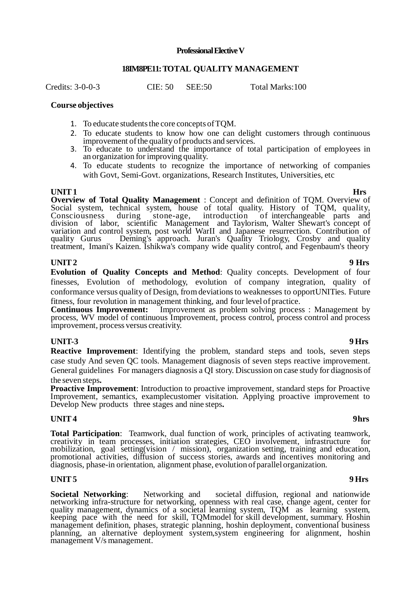### **Professional Elective V**

### **18IM8PE11: TOTAL QUALITY MANAGEMENT**

Credits: 3-0-0-3 CIE: 50 SEE:50 Total Marks:100

### **Course objectives**

- 1. To educate students the core concepts of TQM.
- 2. To educate students to know how one can delight customers through continuous improvement of the quality of products and services.
- 3. To educate to understand the importance of total participation of employees in an organization for improving quality.
- 4. To educate students to recognize the importance of networking of companies with Govt, Semi-Govt. organizations, Research Institutes, Universities, etc.

**UNIT1 Hrs Overview of Total Quality Management** : Concept and definition of TQM. Overview of Social system, technical system, house of total quality. History of TQM, quality, Consciousness during stone-age, introduction of interchangeable parts and division of labor, scientific Management and Taylorism, Walter Shewart's concept of variation and control system, post world WarII and Japanese resurrection. Contribution of quality Gurus Deming's approach. Juran's Quality Triology, Crosby and quality treatment, Imani's Kaizen. Ishikwa's company wide quality control, and Fegenbaum's theory

### **UNIT2 9 Hrs**

**Evolution of Quality Concepts and Method**: Quality concepts. Development of four finesses, Evolution of methodology, evolution of company integration, quality of conformance versus quality of Design, fromdeviationsto weaknesses to opportUNITies. Future fitness, four revolution in management thinking, and four level of practice.<br> **Continuous Improvement:** Improvement as problem solving proces

Improvement as problem solving process : Management by process, WV model of continuous Improvement, process control, process control and process improvement, process versus creativity.

## **UNIT-3 9 Hrs**

**Reactive Improvement**: Identifying the problem, standard steps and tools, seven steps case study And seven QC tools. Management diagnosis of seven steps reactive improvement. General guidelines For managers diagnosis a QI story. Discussion on case study for diagnosis of the seven steps**.** 

**Proactive Improvement**: Introduction to proactive improvement, standard steps for Proactive Improvement, semantics, examplecustomer visitation. Applying proactive improvement to Develop New products three stages and nine steps**.**

### **UNIT 4** 9hrs

**Total Participation**: Teamwork, dual function of work, principles of activating teamwork, creativity in team processes, initiation strategies, CEO involvement, infrastructure for mobilization, goal setting(vision / mission), organization setting, training and education, promotional activities, diffusion of success stories, awards and incentives monitoring and diagnosis, phase-in orientation, alignment phase, evolution of parallel organization.

## **UNIT5 9 Hrs**

**Societal Networking**: Networking and societal diffusion, regional and nationwide networking infra-structure for networking, openness with real case, change agent, center for quality management, dynamics of a societal learning system, TQM as learning system, keeping pace with the need for skill, TQMmodel for skill development, summary. Hoshin management definition, phases, strategic planning, hoshin deployment, conventional business planning, an alternative deployment system,system engineering for alignment, hoshin management V/s management.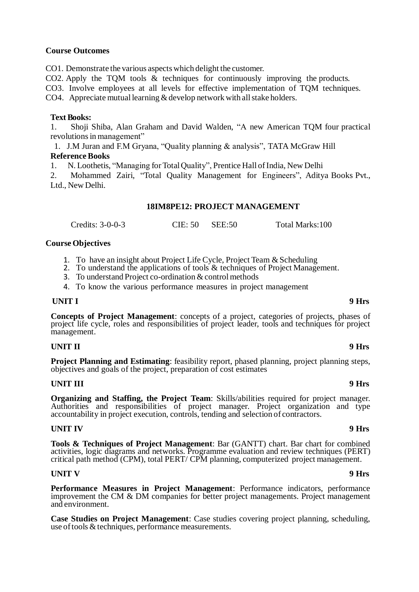### **Course Outcomes**

CO1. Demonstrate the various aspects which delight the customer.

CO2. Apply the TQM tools & techniques for continuously improving the products.

CO3. Involve employees at all levels for effective implementation of TQM techniques.

CO4. Appreciate mutual learning  $&$  develop network with all stake holders.

### **Text Books:**

1. Shoji Shiba, Alan Graham and David Walden, "A new American TQM four practical revolutions in management"

1. J.M Juran and F.M Gryana, "Quality planning & analysis", TATA McGraw Hill **ReferenceBooks**

1. N. Loothetis, "Managing forTotalQuality", Prentice Hall ofIndia, New Delhi

2. Mohammed Zairi, "Total Quality Management for Engineers", Aditya Books Pvt., Ltd., New Delhi.

### **18IM8PE12: PROJECT MANAGEMENT**

| Credits: $3-0-0-3$ | CIE: 50 | <b>SEE:50</b> | Total Marks:100 |
|--------------------|---------|---------------|-----------------|
|--------------------|---------|---------------|-----------------|

### **Course Objectives**

- 1. To have an insight about Project Life Cycle, Project Team & Scheduling
- 2. To understand the applications of tools & techniques of Project Management.
- 3. To understand Project co-ordination  $&$  control methods
- 4. To know the various performance measures in project management

## **UNIT I 9 Hrs**

**Concepts of Project Management**: concepts of a project, categories of projects, phases of project life cycle, roles and responsibilities of project leader, tools and techniques for project management.

### **UNIT II 9 Hrs**

**Project Planning and Estimating**: feasibility report, phased planning, project planning steps, objectives and goals of the project, preparation of cost estimates

## **UNIT III 9 Hrs**

**Organizing and Staffing, the Project Team**: Skills/abilities required for project manager. Authorities and responsibilities of project manager. Project organization and type accountability in project execution, controls, tending and selection of contractors.

## **UNIT IV 9 Hrs**

**Tools & Techniques of Project Management**: Bar (GANTT) chart. Bar chart for combined activities, logic diagrams and networks. Programme evaluation and review techniques (PERT) critical path method (CPM), total PERT/ CPM planning, computerized project management.

### **UNIT V 9 Hrs**

**Performance Measures in Project Management**: Performance indicators, performance improvement the CM & DM companies for better project managements. Project management and environment.

**Case Studies on Project Management**: Case studies covering project planning, scheduling, use of tools & techniques, performance measurements.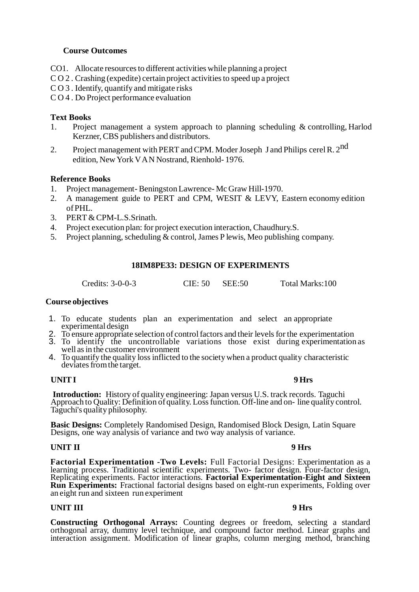## **Course Outcomes**

- CO1. Allocate resources to different activities while planning a project
- $CO 2$ . Crashing (expedite) certain project activities to speed up a project
- C O 3 . Identify, quantify and mitigate risks
- C O 4 . Do Project performance evaluation

### **Text Books**

- 1. Project management a system approach to planning scheduling & controlling, Harlod Kerzner, CBS publishers and distributors.
- 2. Project management with PERT and CPM. Moder Joseph J and Philips cerel R. 2<sup>nd</sup> edition, NewYork VAN Nostrand, Rienhold- 1976.

### **Reference Books**

- 1. Project management- BeningstonLawrence- Mc Graw Hill-1970.
- 2. A management guide to PERT and CPM, WESIT & LEVY, Eastern economy edition ofPHL.
- 3. PERT & CPM-L.S.Srinath.
- 4. Project execution plan: for project execution interaction, Chaudhury.S.
- 5. Project planning, scheduling  $&$  control, James P lewis, Meo publishing company.

## **18IM8PE33: DESIGN OF EXPERIMENTS**

Credits: 3-0-0-3 CIE: 50 SEE:50 Total Marks:100

### **Course objectives**

- 1. To educate students plan an experimentation and select an appropriate experimental design
- 2. To ensure appropriate selection of control factors and their levels for the experimentation
- 3. To identify the uncontrollable variations those exist during experimentation as well as in the customer environment
- 4. To quantify the quality loss inflicted to the society when a product quality characteristic deviates from the target.

### **UNITI 9 Hrs**

**Introduction:** History of quality engineering: Japan versus U.S. track records. Taguchi Approach to Quality: Definition of quality. Loss function. Off-line and on-line quality control. Taguchi's quality philosophy.

**Basic Designs:** Completely Randomised Design, Randomised Block Design, Latin Square Designs, one way analysis of variance and two way analysis of variance.

### **UNIT II 9 Hrs**

**Factorial Experimentation -Two Levels:** Full Factorial Designs: Experimentation as a learning process. Traditional scientific experiments. Two- factor design. Four-factor design, Replicating experiments. Factor interactions. **Factorial Experimentation-Eight and Sixteen Run Experiments:** Fractional factorial designs based on eight-run experiments, Folding over an eight run and sixteen run experiment

### **UNIT III 9 Hrs**

**Constructing Orthogonal Arrays:** Counting degrees or freedom, selecting a standard orthogonal array, dummy level technique, and compound factor method. Linear graphs and interaction assignment. Modification of linear graphs, column merging method, branching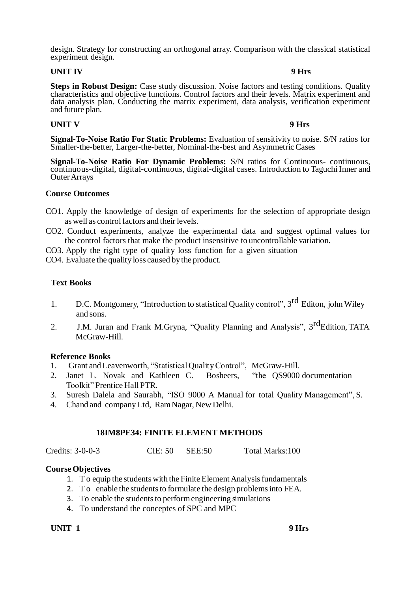design. Strategy for constructing an orthogonal array. Comparison with the classical statistical experiment design.

### **UNIT IV 9 Hrs**

**Steps in Robust Design:** Case study discussion. Noise factors and testing conditions. Quality characteristics and objective functions. Control factors and their levels. Matrix experiment and data analysis plan. Conducting the matrix experiment, data analysis, verification experiment and future plan.

# **UNIT V 9 Hrs**

**Signal-To-Noise Ratio For Static Problems:** Evaluation of sensitivity to noise. S/N ratios for Smaller-the-better, Larger-the-better, Nominal-the-best and Asymmetric Cases

**Signal-To-Noise Ratio For Dynamic Problems:** S/N ratios for Continuous- continuous, continuous-digital, digital-continuous, digital-digital cases. Introduction to Taguchi Inner and OuterArrays

### **Course Outcomes**

- CO1. Apply the knowledge of design of experiments for the selection of appropriate design as well as control factors and their levels.
- CO2. Conduct experiments, analyze the experimental data and suggest optimal values for the control factors that make the product insensitive to uncontrollable variation.
- CO3. Apply the right type of quality loss function for a given situation
- CO4. Evaluate the quality loss caused bythe product.

### **Text Books**

- 1. D.C. Montgomery, "Introduction to statistical Quality control", 3<sup>rd</sup> Editon, john Wiley and sons.
- 2. J.M. Juran and Frank M.Gryna, "Quality Planning and Analysis", 3<sup>rd</sup>Edition, TATA McGraw-Hill.

### **Reference Books**

- 1. Grant and Leavenworth, "Statistical QualityControl", McGraw-Hill.
- 2. Janet L. Novak and Kathleen C. Bosheers, "the QS9000 documentation Toolkit" Prentice Hall PTR.
- 3. Suresh Dalela and Saurabh, "ISO 9000 A Manual for total Quality Management", S.
- 4. Chand and company Ltd, RamNagar, New Delhi.

## **18IM8PE34: FINITE ELEMENT METHODS**

Credits: 3-0-0-3 CIE: 50 SEE:50 Total Marks:100

## **Course Objectives**

- 1. To equip the students with the Finite Element Analysis fundamentals
- 2. To enable the students to formulate the design problems into FEA.
- 3. To enable the students to perform engineering simulations
- 4. To understand the conceptes of SPC and MPC

**UNIT 1 9 Hrs**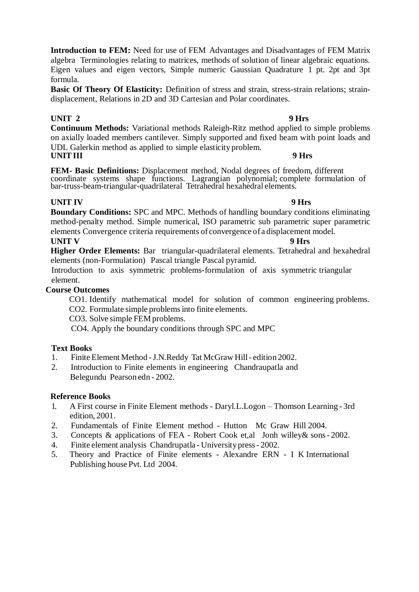**Introduction to FEM:** Need for use of FEM Advantages and Disadvantages of FEM Matrix algebra Terminologies relating to matrices, methods of solution of linear algebraic equations. Eigen values and eigen vectors, Simple numeric Gaussian Quadrature 1 pt. 2pt and 3pt formula.

Basic Of Theory Of Elasticity: Definition of stress and strain, stress-strain relations; straindisplacement, Relations in 2D and 3D Cartesian and Polar coordinates.

# **UNIT 2 9 Hrs**

**Continuum Methods:** Variational methods Raleigh-Ritz method applied to simple problems on axially loaded members cantilever. Simply supported and fixed beam with point loads and UDL Galerkin method as applied to simple elasticity problem. **UNITIII 9 Hrs** 

**FEM- Basic Definitions:** Displacement method, Nodal degrees of freedom, different coordinate systems shape functions. Lagrangian polynomial; complete formulation of bar-truss-beam-triangular-quadrilateral Tetrahedral hexahedral elements.

# **UNIT IV 9 Hrs**

**Boundary Conditions:** SPC and MPC. Methods of handling boundary conditions eliminating method-penalty method. Simple numerical, ISO parametric sub parametric super parametric elements Convergence criteria requirements of convergence of a displacement model.

**UNIT V** 9 Hrs **Higher Order Elements:** Bar triangular-quadrilateral elements. Tetrahedral and hexahedral elements (non-Formulation) Pascal triangle Pascal pyramid.

Introduction to axis symmetric problems-formulation of axis symmetric triangular element.

# **Course Outcomes**

CO1. Identify mathematical model for solution of common engineering problems.

CO2. Formulate simple problemsinto finite elements.

CO3. Solve simple FEM problems.

CO4. Apply the boundary conditions through SPC and MPC

# **Text Books**

- 1. Finite Element Method -J.N.Reddy Tat McGraw Hill- edition 2002.
- 2. Introduction to Finite elements in engineering Chandraupatla and Belegundu Pearson edn - 2002.

# **Reference Books**

- 1. A First course in Finite Element methods Daryl.L.Logon Thomson Learning 3rd edition, 2001.
- 2. Fundamentals of Finite Element method Hutton Mc Graw Hill 2004.
- 3. Concepts & applications of FEA Robert Cook et,al Jonh willey& sons- 2002.
- 4. Finite element analysis Chandrupatla University press- 2002.
- 5. Theory and Practice of Finite elements Alexandre ERN I K International Publishing house Pvt. Ltd 2004.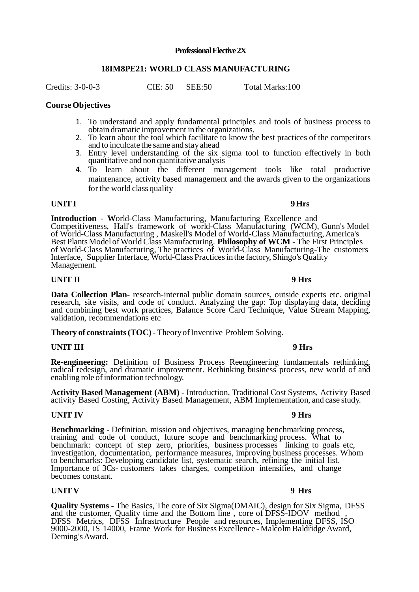### **Professional Elective 2X**

### **18IM8PE21: WORLD CLASS MANUFACTURING**

Credits: 3-0-0-3 CIE: 50 SEE:50 Total Marks:100

### **Course Objectives**

- 1. To understand and apply fundamental principles and tools of business process to obtain dramatic improvement in the organizations.
- 2. To learn about the tool which facilitate to know the best practices of the competitors and to inculcate the same and stayahead
- 3. Entry level understanding of the six sigma tool to function effectively in both quantitative and non quantitative analysis
- 4. To learn about the different management tools like total productive maintenance, activity based management and the awards given to the organizations for the world class quality

### **UNITI 9Hrs**

**Introduction - W**orld-Class Manufacturing, Manufacturing Excellence and Competitiveness, Hall's framework of world-Class Manufacturing (WCM), Gunn's Model of World-Class Manufacturing , Maskell's Model of World-Class Manufacturing,America's Best Plants Model ofWorldClass Manufacturing. **Philosophy of WCM** - The First Principles of World-Class Manufacturing, The practices of World-Class Manufacturing-The customers Interface, Supplier Interface, World-Class Practicesin the factory, Shingo's Quality Management.

### **UNIT II 9 Hrs**

### **Data Collection Plan-** research-internal public domain sources, outside experts etc. original research, site visits, and code of conduct. Analyzing the gap: Top displaying data, deciding and combining best work practices, Balance Score Card Technique, Value Stream Mapping, validation, recommendations etc

**Theory of constraints (TOC) - Theory of Inventive Problem Solving.** 

### **UNIT III 9 Hrs**

**Re-engineering:** Definition of Business Process Reengineering fundamentals rethinking, radical redesign, and dramatic improvement. Rethinking business process, new world of and enabling role of information technology.

**Activity Based Management (ABM) -** Introduction, Traditional Cost Systems, Activity Based activity Based Costing, Activity Based Management, ABM Implementation, and case study.

### **UNIT IV 9 Hrs**

**Benchmarking -** Definition, mission and objectives, managing benchmarking process, training and code of conduct, future scope and benchmarking process. What to benchmark: concept of step zero, priorities, business processes linking to goals etc, investigation, documentation, performance measures, improving business processes. Whom to benchmarks: Developing candidate list, systematic search, refining the initial list. Importance of 3Cs- customers takes charges, competition intensifies, and change becomes constant.

## **UNIT V 9 Hrs**

**Quality Systems -** The Basics, The core of Six Sigma(DMAIC), design for Six Sigma, DFSS and the customer, Quality time and the Bottom line , core of DFSS-IDOV method , DFSS Metrics, DFSS Infrastructure People and resources, Implementing DFSS, ISO 9000-2000, IS 14000, Frame Work for Business Excellence - Malcolm Baldridge Award, Deming's Award.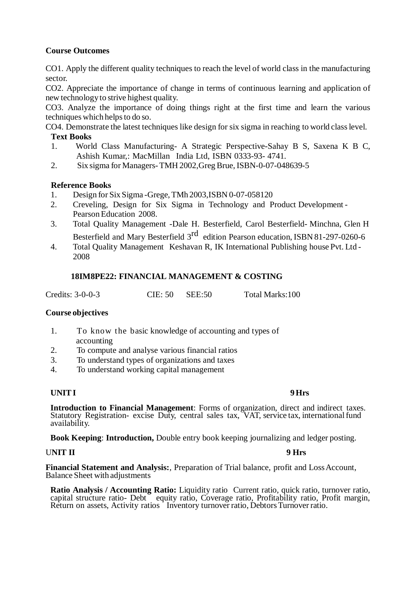# **Course Outcomes**

CO1. Apply the different quality techniques to reach the level of world class in the manufacturing sector.

CO2. Appreciate the importance of change in terms of continuous learning and application of new technology to strive highest quality.

CO3. Analyze the importance of doing things right at the first time and learn the various techniques which helps to do so.

CO4. Demonstrate the latest techniques like design for six sigma in reaching to world class level.

- **Text Books**
- 1. World Class Manufacturing- A Strategic Perspective-Sahay B S, Saxena K B C, Ashish Kumar,: MacMillan India Ltd, ISBN 0333-93- 4741.
- 2. Six sigma for Managers-TMH 2002,GregBrue, ISBN-0-07-048639-5

## **Reference Books**

- 1. Design for Six Sigma -Grege,TMh 2003,ISBN 0-07-058120
- 2. Creveling, Design for Six Sigma in Technology and Product Development Pearson Education 2008.
- 3. Total Quality Management -Dale H. Besterfield, Carol Besterfield- Minchna, Glen H Besterfield and Mary Besterfield 3<sup>rd</sup> edition Pearson education, ISBN 81-297-0260-6
- 4. Total Quality Management Keshavan R, IK International Publishing house Pvt. Ltd 2008

## **18IM8PE22: FINANCIAL MANAGEMENT & COSTING**

Credits: 3-0-0-3 CIE: 50 SEE:50 Total Marks:100

## **Course objectives**

- 1. To know the basic knowledge of accounting and types of accounting
- 2. To compute and analyse various financial ratios
- 3. To understand types of organizations and taxes
- 4. To understand working capital management

## **UNITI 9Hrs**

**Introduction to Financial Management**: Forms of organization, direct and indirect taxes. Statutory Registration- excise Duty, central sales tax, VAT, service tax, international fund availability.

**Book Keeping**: **Introduction,** Double entry book keeping journalizing and ledger posting.

## UNIT II 9 Hrs

**Financial Statement and Analysis:**, Preparation of Trial balance, profit and Loss Account, Balance Sheet with adjustments

**Ratio Analysis / Accounting Ratio:** Liquidity ratio Current ratio, quick ratio, turnover ratio, capital structure ratio- Debt equity ratio, Coverage ratio, Profitability ratio, Profit margin, Return on assets, Activity ratios Inventory turnover ratio, Debtors Turnover ratio.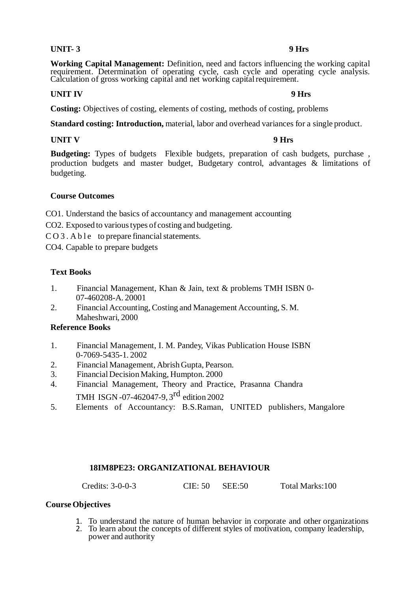## **UNIT- 3 9 Hrs**

**Working Capital Management:** Definition, need and factors influencing the working capital requirement. Determination of operating cycle, cash cycle and operating cycle analysis. Calculation of gross working capital and net working capital requirement.

# **UNIT IV 9 Hrs**

**Costing:** Objectives of costing, elements of costing, methods of costing, problems

**Standard costing: Introduction,** material, labor and overhead variances for a single product.

## **UNIT V 9 Hrs**

**Budgeting:** Types of budgets Flexible budgets, preparation of cash budgets, purchase , production budgets and master budget, Budgetary control, advantages & limitations of budgeting.

## **Course Outcomes**

CO1. Understand the basics of accountancy and management accounting

CO2. Exposed to various types of costing and budgeting.

 $CO 3$ . A b l e to prepare financial statements.

CO4. Capable to prepare budgets

## **Text Books**

- 1. Financial Management, Khan & Jain, text & problems TMH ISBN 0- 07-460208-A. 20001
- 2. Financial Accounting, Costing and Management Accounting, S. M. Maheshwari, 2000

## **Reference Books**

- 1. Financial Management, I. M. Pandey, Vikas Publication House ISBN 0-7069-5435-1. 2002
- 2. Financial Management, AbrishGupta, Pearson.
- 3. FinancialDecisionMaking, Humpton. 2000
- 4. Financial Management, Theory and Practice, Prasanna Chandra TMH ISGN -07-462047-9, 3<sup>rd</sup> edition 2002
- 5. Elements of Accountancy: B.S.Raman, UNITED publishers, Mangalore

## **18IM8PE23: ORGANIZATIONAL BEHAVIOUR**

Credits: 3-0-0-3 CIE: 50 SEE:50 Total Marks:100

## **Course Objectives**

- 1. To understand the nature of human behavior in corporate and other organizations
- 2. To learn about the concepts of different styles of motivation, company leadership, power and authority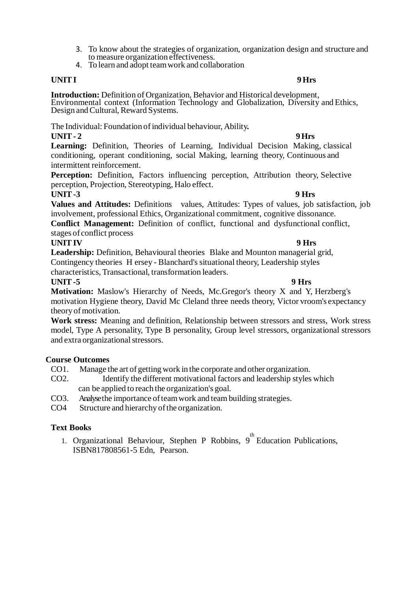- 3. To know about the strategies of organization, organization design and structure and to measure organization effectiveness.
- 4. To learn and adopt teamwork and collaboration

# **UNITI 9 Hrs**

**Introduction:** Definition of Organization, Behavior and Historical development, Environmental context (Information Technology and Globalization, Diversity and Ethics, Design and Cultural, Reward Systems.

The Individual: Foundation ofindividual behaviour, Ability**.**

# **UNIT- 2 9Hrs**

**Learning:** Definition, Theories of Learning, Individual Decision Making, classical conditioning, operant conditioning, social Making, learning theory, Continuous and intermittent reinforcement.

**Perception:** Definition, Factors influencing perception, Attribution theory, Selective perception, Projection, Stereotyping, Halo effect.

# **UNIT-3 9 Hrs**

**Values and Attitudes:** Definitions values, Attitudes: Types of values, job satisfaction, job involvement, professional Ethics, Organizational commitment, cognitive dissonance.

**Conflict Management:** Definition of conflict, functional and dysfunctional conflict, stages of conflict process

## **UNITIV 9 Hrs**

**Leadership:** Definition, Behavioural theories Blake and Mounton managerial grid, Contingency theories H ersey - Blanchard's situational theory, Leadership styles characteristics, Transactional, transformation leaders.

**UNIT-5 9 Hrs Motivation:** Maslow's Hierarchy of Needs, Mc.Gregor's theory X and Y, Herzberg's motivation Hygiene theory, David Mc Cleland three needs theory, Victor vroom's expectancy theory of motivation.

**Work stress:** Meaning and definition, Relationship between stressors and stress, Work stress model, Type A personality, Type B personality, Group level stressors, organizational stressors and extra organizational stressors.

# **Course Outcomes**

CO1. Manage the art of getting work in the corporate and other organization.

- CO2. Identify the different motivational factors and leadership styles which can be applied to reach the organization's goal.
- CO3. Analyse the importance of team work and team building strategies.
- CO4 Structure and hierarchy of the organization.

# **Text Books**

1. Organizational Behaviour, Stephen P Robbins,  $9^{\text{th}}$  Education Publications, ISBN817808561-5 Edn, Pearson.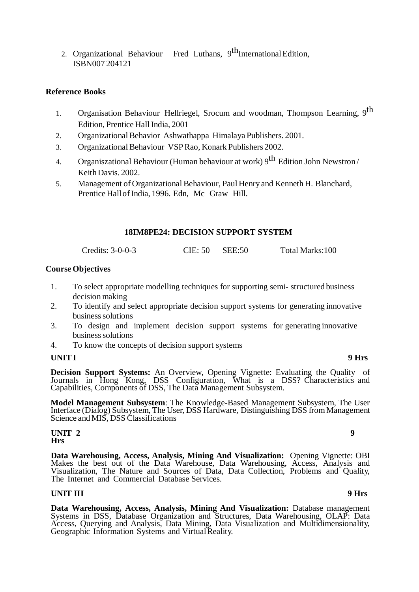2. Organizational Behaviour Fred Luthans, 9<sup>th</sup>International Edition, ISBN007 204121

## **Reference Books**

- 1. Organisation Behaviour Hellriegel, Srocum and woodman, Thompson Learning, 9<sup>th</sup> Edition, Prentice Hall India, 2001
- 2. Organizational Behavior Ashwathappa Himalaya Publishers. 2001.
- 3. OrganizationalBehaviour VSPRao, Konark Publishers 2002.
- 4. Organiszational Behaviour (Human behaviour at work)  $9^{th}$  Edition John Newstron/ Keith Davis. 2002.
- 5. Management of Organizational Behaviour, Paul Henry and Kenneth H. Blanchard, Prentice Hall of India, 1996. Edn, Mc Graw Hill.

### **18IM8PE24: DECISION SUPPORT SYSTEM**

Credits: 3-0-0-3 CIE: 50 SEE:50 Total Marks:100

### **Course Objectives**

- 1. To select appropriate modelling techniques for supporting semi- structured business decision making
- 2. To identify and select appropriate decision support systems for generating innovative business solutions
- 3. To design and implement decision support systems for generating innovative business solutions
- 4. To know the concepts of decision support systems

## **UNITI 9 Hrs**

**Decision Support Systems:** An Overview, Opening Vignette: Evaluating the Quality of Journals in Hong Kong, DSS Configuration, What is a DSS? Characteristics and Capabilities, Components of DSS, The Data Management Subsystem.

**Model Management Subsystem**: The Knowledge-Based Management Subsystem, The User Interface (Dialog) Subsystem, The User, DSS Hardware, Distinguishing DSS fromManagement Science and MIS, DSS Classifications

### **UNIT 2** 9 **Hrs**

**Data Warehousing, Access, Analysis, Mining And Visualization:** Opening Vignette: OBI Makes the best out of the Data Warehouse, Data Warehousing, Access, Analysis and Visualization, The Nature and Sources of Data, Data Collection, Problems and Quality, The Internet and Commercial Database Services.

### **UNIT III 9 Hrs**

**Data Warehousing, Access, Analysis, Mining And Visualization:** Database management Systems in DSS, Database Organization and Structures, Data Warehousing, OLAP: Data Access, Querying and Analysis, Data Mining, Data Visualization and Multidimensionality, Geographic Information Systems and VirtualReality.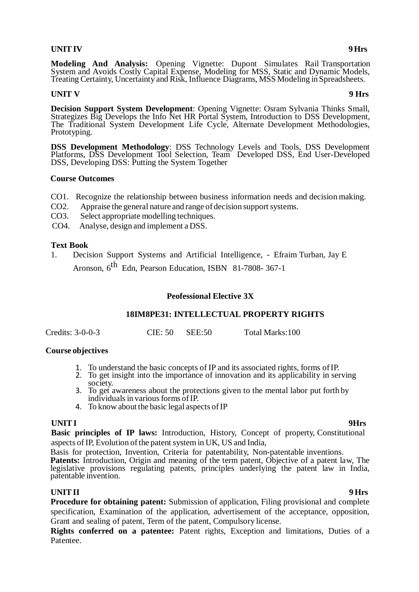# **UNITIV 9Hrs**

**Modeling And Analysis:** Opening Vignette: Dupont Simulates Rail Transportation System and Avoids Costly Capital Expense, Modeling for MSS, Static and Dynamic Models, Treating Certainty, Uncertainty and Risk, Influence Diagrams, MSS Modeling in Spreadsheets.

# **UNIT V** 9 Hrs

**Decision Support System Development**: Opening Vignette: Osram Sylvania Thinks Small, Strategizes Big Develops the Info Net HR Portal System, Introduction to DSS Development, The Traditional System Development Life Cycle, Alternate Development Methodologies, Prototyping.

**DSS Development Methodology**: DSS Technology Levels and Tools, DSS Development Platforms, DSS Development Tool Selection, Team Developed DSS, End User-Developed DSS, Developing DSS: Putting the System Together

### **Course Outcomes**

- CO1. Recognize the relationship between business information needs and decision making.
- CO2. Appraise the general nature and range of decision support systems.
- CO3. Select appropriate modelling techniques.
- CO4. Analyse, design and implement a DSS.

## **Text Book**

1. Decision Support Systems and Artificial Intelligence, - Efraim Turban, Jay E Aronson, 6<sup>th</sup> Edn, Pearson Education, ISBN 81-7808-367-1

## **Peofessional Elective 3X**

## **18IM8PE31: INTELLECTUAL PROPERTY RIGHTS**

| Credits: 3-0-0-3 | CIE: 50 SEE: 50 |  | Total Marks:100 |
|------------------|-----------------|--|-----------------|
|------------------|-----------------|--|-----------------|

## **Course objectives**

- 1. To understand the basic concepts of IP and its associated rights, forms ofIP.
- 2. To get insight into the importance of innovation and its applicability in serving society.
- 3. To get awareness about the protections given to the mental labor put forth by individuals in various forms of IP.
- 4. To know about the basic legal aspects of IP

## **UNITI 9Hrs**

**Basic principles of IP laws:** Introduction, History, Concept of property, Constitutional aspects of IP, Evolution of the patent system in UK, US and India,

Basis for protection, Invention, Criteria for patentability, Non-patentable inventions.

**Patents:** Introduction, Origin and meaning of the term patent, Objective of a patent law, The legislative provisions regulating patents, principles underlying the patent law in India, patentable invention.

**UNITII 9 Hrs Procedure for obtaining patent:** Submission of application, Filing provisional and complete specification, Examination of the application, advertisement of the acceptance, opposition, Grant and sealing of patent, Term of the patent, Compulsory license.

**Rights conferred on a patentee:** Patent rights, Exception and limitations, Duties of a Patentee.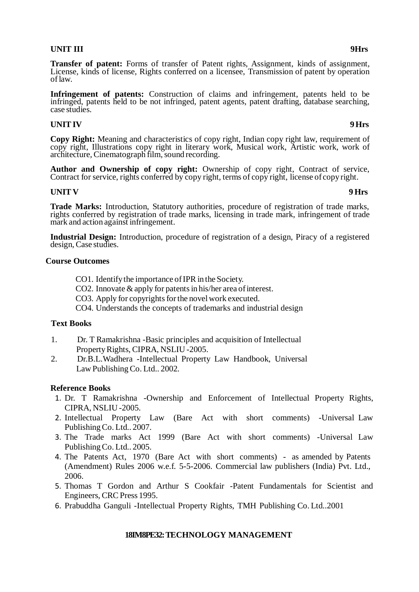# **UNIT III 9Hrs**

**Transfer of patent:** Forms of transfer of Patent rights, Assignment, kinds of assignment, License, kinds of license, Rights conferred on a licensee, Transmission of patent by operation oflaw.

**Infringement of patents:** Construction of claims and infringement, patents held to be infringed, patents held to be not infringed, patent agents, patent drafting, database searching, case studies.

## **UNITIV 9Hrs**

**Copy Right:** Meaning and characteristics of copy right, Indian copy right law, requirement of copy right, Illustrations copy right in literary work, Musical work, Artistic work, work of architecture, Cinematograph film, sound recording.

**Author and Ownership of copy right:** Ownership of copy right, Contract of service, Contract for service, rights conferred by copy right, terms of copy right, license of copyright.

## **UNIT V 9 Hrs**

**Trade Marks:** Introduction, Statutory authorities, procedure of registration of trade marks, rights conferred by registration of trade marks, licensing in trade mark, infringement of trade mark and action against infringement.

**Industrial Design:** Introduction, procedure of registration of a design, Piracy of a registered design, Case studies.

### **Course Outcomes**

- CO1. Identify the importance ofIPR in the Society.
- CO2. Innovate  $\&$  apply for patents in his/her area of interest.
- CO3. Apply for copyrights for the novel work executed.
- CO4. Understands the concepts of trademarks and industrial design

## **Text Books**

- 1. Dr. T Ramakrishna -Basic principles and acquisition of Intellectual Property Rights, CIPRA, NSLIU -2005.
- 2. Dr.B.L.Wadhera -Intellectual Property Law Handbook, Universal Law Publishing Co. Ltd.. 2002.

## **Reference Books**

- 1. Dr. T Ramakrishna -Ownership and Enforcement of Intellectual Property Rights, CIPRA, NSLIU -2005.
- 2. Intellectual Property Law (Bare Act with short comments) -Universal Law Publishing Co. Ltd.. 2007.
- 3. The Trade marks Act 1999 (Bare Act with short comments) -Universal Law Publishing Co. Ltd.. 2005.
- 4. The Patents Act, 1970 (Bare Act with short comments) as amended by Patents (Amendment) Rules 2006 w.e.f. 5-5-2006. Commercial law publishers (India) Pvt. Ltd., 2006.
- 5. Thomas T Gordon and Arthur S Cookfair -Patent Fundamentals for Scientist and Engineers, CRCPress 1995.
- 6. Prabuddha Ganguli -Intellectual Property Rights, TMH Publishing Co. Ltd..2001

## **18IM8PE32: TECHNOLOGY MANAGEMENT**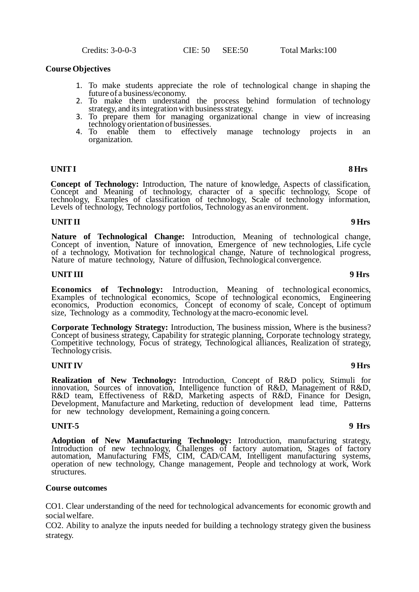Credits: 3-0-0-3 CIE: 50 SEE:50 Total Marks:100

### **Course Objectives**

- 1. To make students appreciate the role of technological change in shaping the future of a business/economy.
- 2. To make them understand the process behind formulation of technology strategy, and its integration with business strategy.
- 3. To prepare them for managing organizational change in view of increasing
- technology orientation of businesses.<br>To enable them to effectively 4. To enable them to effectively manage technology projects in an organization.

## **UNITI 8 Hrs**

**Concept of Technology:** Introduction, The nature of knowledge, Aspects of classification, Concept and Meaning of technology, character of a specific technology, Scope of technology, Examples of classification of technology, Scale of technology information, Levels of technology, Technology portfolios, Technology as an environment.

### **UNITII 9 Hrs**

**Nature of Technological Change:** Introduction, Meaning of technological change, Concept of invention, Nature of innovation, Emergence of new technologies, Life cycle of a technology, Motivation for technological change, Nature of technological progress, Nature of mature technology, Nature of diffusion, Technological convergence.

### **UNITIII 9 Hrs**

**Economics of Technology:** Introduction, Meaning of technological economics, Examples of technological economics, Scope of technological economics, Engineering economics, Production economics, Concept of economy of scale, Concept of optimum size, Technology as a commodity, Technology at the macro-economic level.

**Corporate Technology Strategy:** Introduction, The business mission, Where is the business? Concept of business strategy, Capability for strategic planning, Corporate technology strategy, Competitive technology, Focus of strategy, Technological alliances, Realization of strategy, Technology crisis.

### **UNITIV 9 Hrs**

**Realization of New Technology:** Introduction, Concept of R&D policy, Stimuli for innovation, Sources of innovation, Intelligence function of R&D, Management of R&D, R&D team, Effectiveness of R&D, Marketing aspects of R&D, Finance for Design, Development, Manufacture and Marketing, reduction of development lead time, Patterns for new technology development, Remaining a going concern.

### **UNIT-5 9 Hrs**

**Adoption of New Manufacturing Technology:** Introduction, manufacturing strategy, Introduction of new technology, Challenges of factory automation, Stages of factory automation, Manufacturing FMS, CIM, CAD/CAM, Intelligent manufacturing systems, operation of new technology, Change management, People and technology at work, Work structures.

### **Course outcomes**

CO1. Clear understanding of the need for technological advancements for economic growth and social welfare.

CO2. Ability to analyze the inputs needed for building a technology strategy given the business strategy.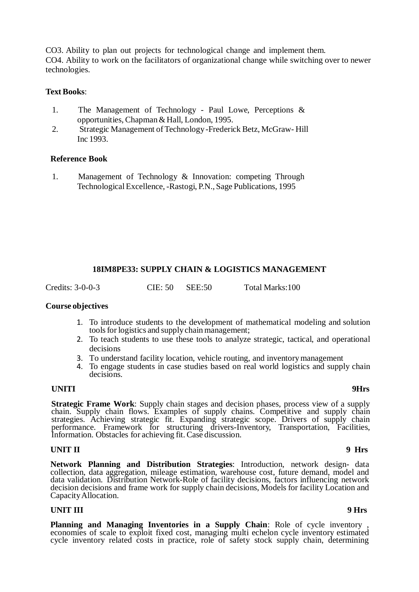CO3. Ability to plan out projects for technological change and implement them. CO4. Ability to work on the facilitators of organizational change while switching over to newer technologies.

## **Text Books**:

- 1. The Management of Technology Paul Lowe, Perceptions & opportunities, Chapman&Hall, London, 1995.
- 2. Strategic Management of Technology-Frederick Betz, McGraw- Hill Inc 1993.

### **Reference Book**

1. Management of Technology & Innovation: competing Through TechnologicalExcellence, -Rastogi, P.N., Sage Publications, 1995

# **18IM8PE33: SUPPLY CHAIN & LOGISTICS MANAGEMENT**

Credits: 3-0-0-3 CIE: 50 SEE:50 Total Marks:100

**Course objectives**

- 1. To introduce students to the development of mathematical modeling and solution tools for logistics and supply chain management;
- 2. To teach students to use these tools to analyze strategic, tactical, and operational decisions
- 3. To understand facility location, vehicle routing, and inventorymanagement
- 4. To engage students in case studies based on real world logistics and supply chain decisions.

## **UNITI 9Hrs**

**Strategic Frame Work**: Supply chain stages and decision phases, process view of a supply chain. Supply chain flows. Examples of supply chains. Competitive and supply chain strategies. Achieving strategic fit. Expanding strategic scope. Drivers of supply chain performance. Framework for structuring drivers-Inventory, Transportation, Facilities, Information. Obstacles for achieving fit. Case discussion.

### **UNIT II 9 Hrs**

**Network Planning and Distribution Strategies**: Introduction, network design- data collection, data aggregation, mileage estimation, warehouse cost, future demand, model and data validation. Distribution Network-Role of facility decisions, factors influencing network decision decisions and frame work for supply chain decisions, Models for facility Location and CapacityAllocation.

### **UNIT III 9 Hrs**

**Planning and Managing Inventories in a Supply Chain**: Role of cycle inventory , economies of scale to exploit fixed cost, managing multi echelon cycle inventory estimated cycle inventory related costs in practice, role of safety stock supply chain, determining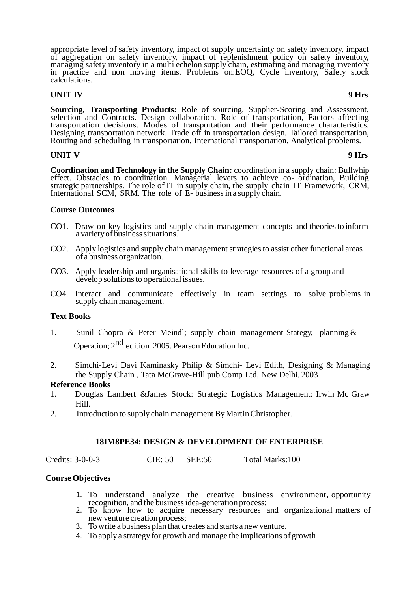appropriate level of safety inventory, impact of supply uncertainty on safety inventory, impact of aggregation on safety inventory, impact of replenishment policy on safety inventory, managing safety inventory in a multi echelon supply chain, estimating and managing inventory in practice and non moving items. Problems on:EOQ, Cycle inventory, Safety stock calculations.

# **UNIT IV 9 Hrs**

**Sourcing, Transporting Products:** Role of sourcing, Supplier-Scoring and Assessment, selection and Contracts. Design collaboration. Role of transportation, Factors affecting transportation decisions. Modes of transportation and their performance characteristics. Designing transportation network. Trade off in transportation design. Tailored transportation, Routing and scheduling in transportation. International transportation. Analytical problems.

## **UNIT V 9 Hrs**

**Coordination and Technology in the Supply Chain:** coordination in a supply chain: Bullwhip effect. Obstacles to coordination. Managerial levers to achieve co- ordination, Building strategic partnerships. The role of IT in supply chain, the supply chain IT Framework, CRM, International SCM, SRM. The role of E- businessin a supply chain.

## **Course Outcomes**

- CO1. Draw on key logistics and supply chain management concepts and theoriesto inform a variety of business situations.
- CO2. Apply logistics and supply chain management strategiesto assist other functional areas of a business organization.
- CO3. Apply leadership and organisational skills to leverage resources of a group and develop solutions to operational issues.
- CO4. Interact and communicate effectively in team settings to solve problems in supply chain management.

## **Text Books**

- 1. Sunil Chopra & Peter Meindl; supply chain management-Stategy, planning & Operation; 2<sup>nd</sup> edition 2005. Pearson Education Inc.
- 2. Simchi-Levi Davi Kaminasky Philip & Simchi- Levi Edith, Designing & Managing the Supply Chain , Tata McGrave-Hill pub.Comp Ltd, New Delhi, 2003

## **Reference Books**

- 1. Douglas Lambert &James Stock: Strategic Logistics Management: Irwin Mc Graw Hill.
- 2. Introduction to supply chain management ByMartinChristopher.

## **18IM8PE34: DESIGN & DEVELOPMENT OF ENTERPRISE**

Credits: 3-0-0-3 CIE: 50 SEE:50 Total Marks:100

## **Course Objectives**

- 1. To understand analyze the creative business environment, opportunity recognition, and the businessidea-generation process;
- 2. To know how to acquire necessary resources and organizational matters of new venture creation process;
- 3. To write a business plan that creates and starts a new venture.
- 4. To applya strategy for growth and manage the implications of growth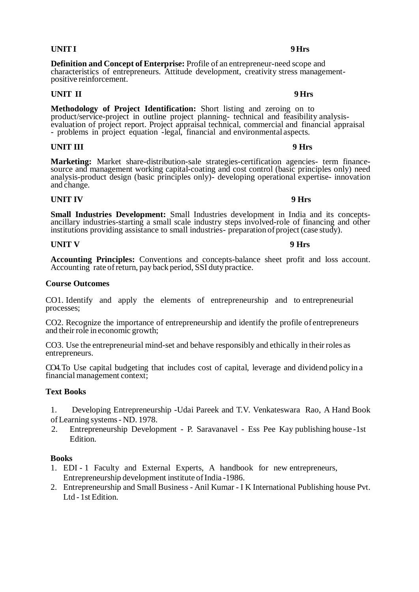**Definition and Concept of Enterprise:** Profile of an entrepreneur-need scope and characteristics of entrepreneurs. Attitude development, creativity stress managementpositive reinforcement.

**UNIT II 9 Hrs** 

**Methodology of Project Identification:** Short listing and zeroing on to product/service-project in outline project planning- technical and feasibility analysisevaluation of project report. Project appraisal technical, commercial and financial appraisal - problems in project equation -legal, financial and environmental aspects.

### **UNIT III 9 Hrs**

**Marketing:** Market share-distribution-sale strategies-certification agencies- term financesource and management working capital-coating and cost control (basic principles only) need analysis-product design (basic principles only)- developing operational expertise- innovation and change.

## **UNIT IV 9 Hrs**

**Small Industries Development:** Small Industries development in India and its conceptsancillary industries-starting a small scale industry steps involved-role of financing and other institutions providing assistance to small industries- preparation of project (case study).

# **UNIT V** 9 Hrs

**Accounting Principles:** Conventions and concepts-balance sheet profit and loss account. Accounting rate of return, pay back period, SSI duty practice.

### **Course Outcomes**

CO1. Identify and apply the elements of entrepreneurship and to entrepreneurial processes;

CO2. Recognize the importance of entrepreneurship and identify the profile of entrepreneurs and their role in economic growth;

CO3. Use the entrepreneurial mind-set and behave responsibly and ethically in their roles as entrepreneurs.

CO4. To Use capital budgeting that includes cost of capital, leverage and dividend policy in a financial management context;

## **Text Books**

1. Developing Entrepreneurship -Udai Pareek and T.V. Venkateswara Rao, A Hand Book ofLearning systems- ND. 1978.

2. Entrepreneurship Development - P. Saravanavel - Ess Pee Kay publishing house -1st Edition.

### **Books**

- 1. EDI 1 Faculty and External Experts, A handbook for new entrepreneurs, Entrepreneurship development institute of India -1986.
- 2. Entrepreneurship and Small Business Anil Kumar I K International Publishing house Pvt. Ltd - 1st Edition.

### **UNITI 9Hrs**